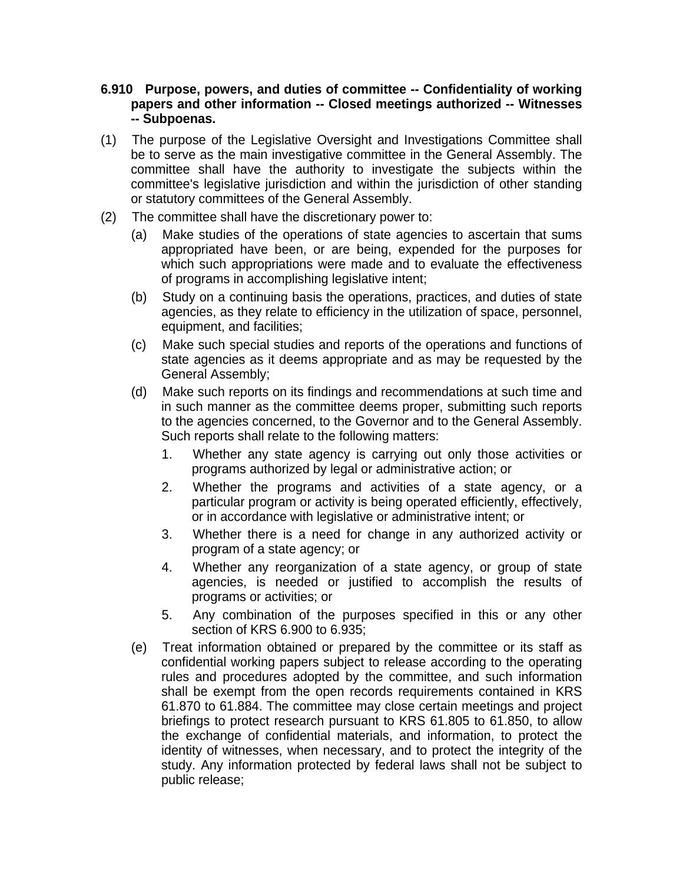- **6.910 Purpose, powers, and duties of committee -- Confidentiality of working papers and other information -- Closed meetings authorized -- Witnesses -- Subpoenas.**
- (1) The purpose of the Legislative Oversight and Investigations Committee shall be to serve as the main investigative committee in the General Assembly. The committee shall have the authority to investigate the subjects within the committee's legislative jurisdiction and within the jurisdiction of other standing or statutory committees of the General Assembly.
- (2) The committee shall have the discretionary power to:
	- (a) Make studies of the operations of state agencies to ascertain that sums appropriated have been, or are being, expended for the purposes for which such appropriations were made and to evaluate the effectiveness of programs in accomplishing legislative intent;
	- (b) Study on a continuing basis the operations, practices, and duties of state agencies, as they relate to efficiency in the utilization of space, personnel, equipment, and facilities;
	- (c) Make such special studies and reports of the operations and functions of state agencies as it deems appropriate and as may be requested by the General Assembly;
	- (d) Make such reports on its findings and recommendations at such time and in such manner as the committee deems proper, submitting such reports to the agencies concerned, to the Governor and to the General Assembly. Such reports shall relate to the following matters:
		- 1. Whether any state agency is carrying out only those activities or programs authorized by legal or administrative action; or
		- 2. Whether the programs and activities of a state agency, or a particular program or activity is being operated efficiently, effectively, or in accordance with legislative or administrative intent; or
		- 3. Whether there is a need for change in any authorized activity or program of a state agency; or
		- 4. Whether any reorganization of a state agency, or group of state agencies, is needed or justified to accomplish the results of programs or activities; or
		- 5. Any combination of the purposes specified in this or any other section of KRS 6.900 to 6.935;
	- (e) Treat information obtained or prepared by the committee or its staff as confidential working papers subject to release according to the operating rules and procedures adopted by the committee, and such information shall be exempt from the open records requirements contained in KRS 61.870 to 61.884. The committee may close certain meetings and project briefings to protect research pursuant to KRS 61.805 to 61.850, to allow the exchange of confidential materials, and information, to protect the identity of witnesses, when necessary, and to protect the integrity of the study. Any information protected by federal laws shall not be subject to public release;